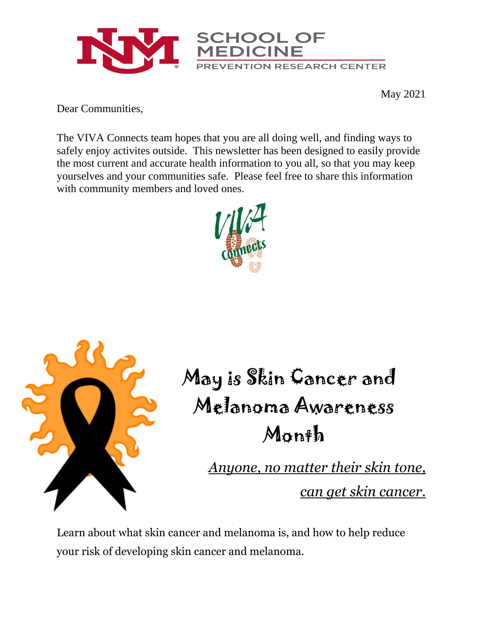

May 2021

Dear Communities,

The VIVA Connects team hopes that you are all doing well, and finding ways to safely enjoy activites outside. This newsletter has been designed to easily provide the most current and accurate health information to you all, so that you may keep yourselves and your communities safe. Please feel free to share this information with community members and loved ones.





May is Skin Cancer and Melanoma Awareness Month

> *Anyone, no matter their skin tone, can get skin cancer.*

Learn about what skin cancer and melanoma is, and how to help reduce your risk of developing skin cancer and melanoma.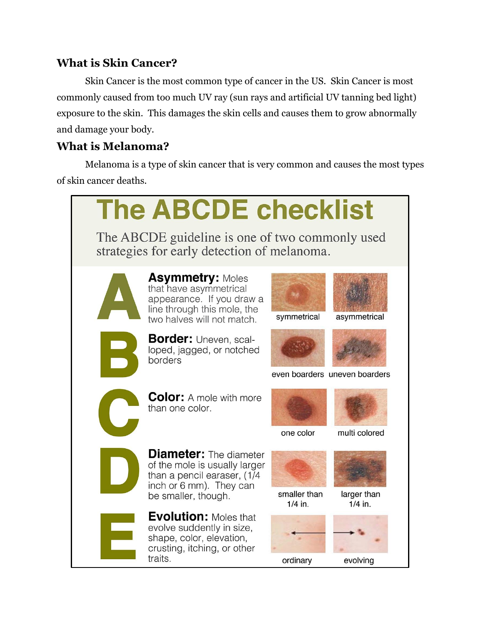#### **What is Skin Cancer?**

Skin Cancer is the most common type of cancer in the US. Skin Cancer is most commonly caused from too much UV ray (sun rays and artificial UV tanning bed light) exposure to the skin. This damages the skin cells and causes them to grow abnormally and damage your body.

### **What is Melanoma?**

Melanoma is a type of skin cancer that is very common and causes the most types of skin cancer deaths.

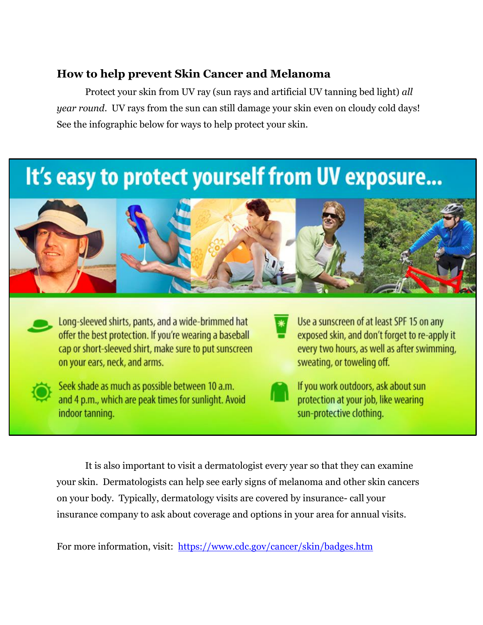#### **How to help prevent Skin Cancer and Melanoma**

Protect your skin from UV ray (sun rays and artificial UV tanning bed light) *all year round*. UV rays from the sun can still damage your skin even on cloudy cold days! See the infographic below for ways to help protect your skin.

# It's easy to protect yourself from UV exposure...



Long-sleeved shirts, pants, and a wide-brimmed hat offer the best protection. If you're wearing a baseball cap or short-sleeved shirt, make sure to put sunscreen on your ears, neck, and arms.



Seek shade as much as possible between 10 a.m. and 4 p.m., which are peak times for sunlight. Avoid indoor tanning.

Use a sunscreen of at least SPF 15 on any exposed skin, and don't forget to re-apply it every two hours, as well as after swimming, sweating, or toweling off.



If you work outdoors, ask about sun protection at your job, like wearing sun-protective clothing.

It is also important to visit a dermatologist every year so that they can examine your skin. Dermatologists can help see early signs of melanoma and other skin cancers on your body. Typically, dermatology visits are covered by insurance- call your insurance company to ask about coverage and options in your area for annual visits.

For more information, visit: <https://www.cdc.gov/cancer/skin/badges.htm>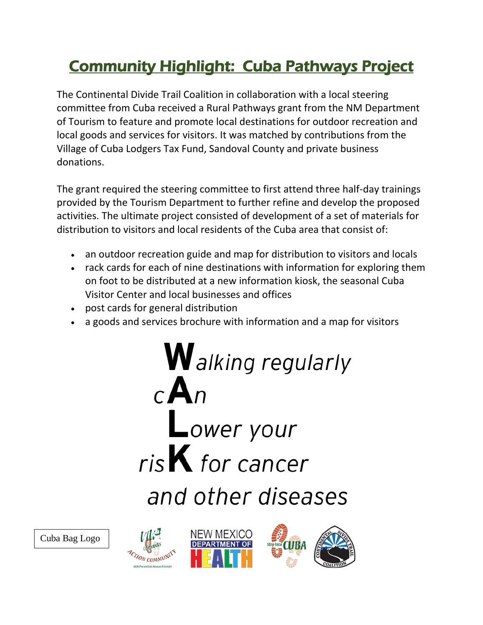## Community Highlight: Cuba Pathways Project

The Continental Divide Trail Coalition in collaboration with a local steering committee from Cuba received a Rural Pathways grant from the NM Department of Tourism to feature and promote local destinations for outdoor recreation and local goods and services for visitors. It was matched by contributions from the Village of Cuba Lodgers Tax Fund, Sandoval County and private business donations.

The grant required the steering committee to first attend three half-day trainings provided by the Tourism Department to further refine and develop the proposed activities. The ultimate project consisted of development of a set of materials for distribution to visitors and local residents of the Cuba area that consist of:

- an outdoor recreation guide and map for distribution to visitors and locals
- rack cards for each of nine destinations with information for exploring them on foot to be distributed at a new information kiosk, the seasonal Cuba Visitor Center and local businesses and offices
- post cards for general distribution
- a goods and services brochure with information and a map for visitors

**W** alking regularly  $c$  A Lower your  $risK$  for cancer and other diseases

Cuba Bag Logo